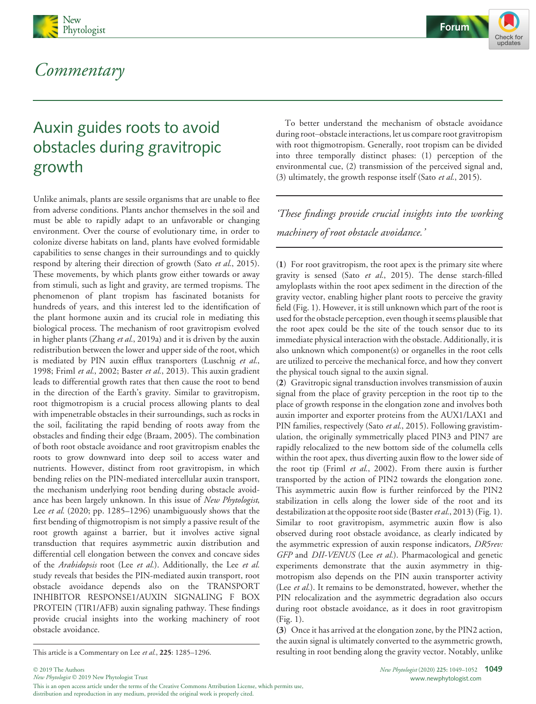

## Commentary



# Auxin guides roots to avoid obstacles during gravitropic growth

Unlike animals, plants are sessile organisms that are unable to flee from adverse conditions. Plants anchor themselves in the soil and must be able to rapidly adapt to an unfavorable or changing environment. Over the course of evolutionary time, in order to colonize diverse habitats on land, plants have evolved formidable capabilities to sense changes in their surroundings and to quickly respond by altering their direction of growth (Sato et al., 2015). These movements, by which plants grow either towards or away from stimuli, such as light and gravity, are termed tropisms. The phenomenon of plant tropism has fascinated botanists for hundreds of years, and this interest led to the identification of the plant hormone auxin and its crucial role in mediating this biological process. The mechanism of root gravitropism evolved in higher plants (Zhang et al., 2019a) and it is driven by the auxin redistribution between the lower and upper side of the root, which is mediated by PIN auxin efflux transporters (Luschnig et al., 1998; Friml et al., 2002; Baster et al., 2013). This auxin gradient leads to differential growth rates that then cause the root to bend in the direction of the Earth's gravity. Similar to gravitropism, root thigmotropism is a crucial process allowing plants to deal with impenetrable obstacles in their surroundings, such as rocks in the soil, facilitating the rapid bending of roots away from the obstacles and finding their edge (Braam, 2005). The combination of both root obstacle avoidance and root gravitropism enables the roots to grow downward into deep soil to access water and nutrients. However, distinct from root gravitropism, in which bending relies on the PIN-mediated intercellular auxin transport, the mechanism underlying root bending during obstacle avoidance has been largely unknown. In this issue of New Phytologist, Lee *et al.* (2020; pp. 1285–1296) unambiguously shows that the first bending of thigmotropism is not simply a passive result of the root growth against a barrier, but it involves active signal transduction that requires asymmetric auxin distribution and differential cell elongation between the convex and concave sides of the Arabidopsis root (Lee et al.). Additionally, the Lee et al. study reveals that besides the PIN-mediated auxin transport, root obstacle avoidance depends also on the TRANSPORT INHIBITOR RESPONSE1/AUXIN SIGNALING F BOX PROTEIN (TIR1/AFB) auxin signaling pathway. These findings provide crucial insights into the working machinery of root obstacle avoidance.

2019 The Authors

To better understand the mechanism of obstacle avoidance during root–obstacle interactions, let us compare root gravitropism with root thigmotropism. Generally, root tropism can be divided into three temporally distinct phases: (1) perception of the environmental cue, (2) transmission of the perceived signal and, (3) ultimately, the growth response itself (Sato et al., 2015).

'These findings provide crucial insights into the working machinery of root obstacle avoidance.

(1) For root gravitropism, the root apex is the primary site where gravity is sensed (Sato et al., 2015). The dense starch-filled amyloplasts within the root apex sediment in the direction of the gravity vector, enabling higher plant roots to perceive the gravity field (Fig. 1). However, it is still unknown which part of the root is used for the obstacle perception, even though it seems plausible that the root apex could be the site of the touch sensor due to its immediate physical interaction with the obstacle. Additionally, it is also unknown which component(s) or organelles in the root cells are utilized to perceive the mechanical force, and how they convert the physical touch signal to the auxin signal.

(2) Gravitropic signal transduction involves transmission of auxin signal from the place of gravity perception in the root tip to the place of growth response in the elongation zone and involves both auxin importer and exporter proteins from the AUX1/LAX1 and PIN families, respectively (Sato et al., 2015). Following gravistimulation, the originally symmetrically placed PIN3 and PIN7 are rapidly relocalized to the new bottom side of the columella cells within the root apex, thus diverting auxin flow to the lower side of the root tip (Friml et al., 2002). From there auxin is further transported by the action of PIN2 towards the elongation zone. This asymmetric auxin flow is further reinforced by the PIN2 stabilization in cells along the lower side of the root and its destabilization at the opposite root side (Baster et al., 2013) (Fig. 1). Similar to root gravitropism, asymmetric auxin flow is also observed during root obstacle avoidance, as clearly indicated by the asymmetric expression of auxin response indicators, DR5rev: GFP and DII-VENUS (Lee et al.). Pharmacological and genetic experiments demonstrate that the auxin asymmetry in thigmotropism also depends on the PIN auxin transporter activity (Lee et al.). It remains to be demonstrated, however, whether the PIN relocalization and the asymmetric degradation also occurs during root obstacle avoidance, as it does in root gravitropism (Fig. 1).

(3) Once it has arrived at the elongation zone, by the PIN2 action, the auxin signal is ultimately converted to the asymmetric growth, This article is a Commentary on Lee et al., 225: 1285–1296. resulting in root bending along the gravity vector. Notably, unlike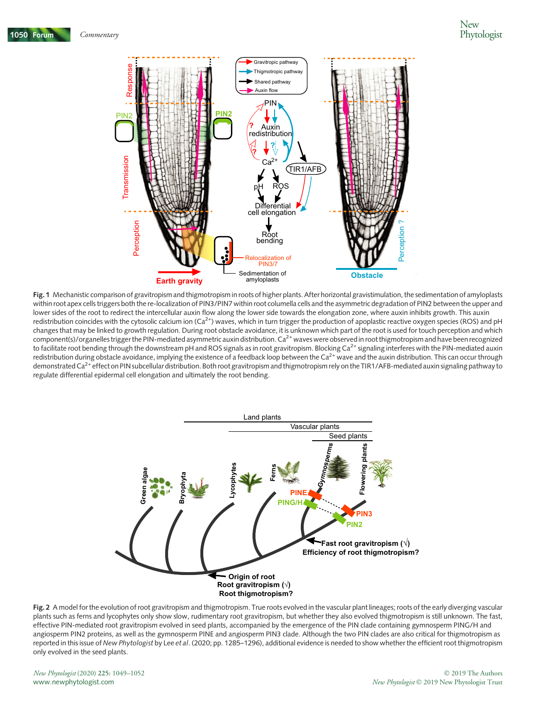

Fig. 1 Mechanistic comparison of gravitropism and thigmotropism in roots of higher plants. After horizontal gravistimulation, the sedimentation of amyloplasts within root apex cells triggers both the re-localization of PIN3/PIN7 within root columella cells and the asymmetric degradation of PIN2 between the upper and lower sides of the root to redirect the intercellular auxin flow along the lower side towards the elongation zone, where auxin inhibits growth. This auxin redistribution coincides with the cytosolic calcium ion  $(Ca^{2+})$  waves, which in turn trigger the production of apoplastic reactive oxygen species (ROS) and pH changes that may be linked to growth regulation. During root obstacle avoidance, it is unknown which part of the root is used for touch perception and which component(s)/organelles trigger the PIN-mediated asymmetric auxin distribution.  $Ca<sup>2+</sup>$  waves were observed in root thigmotropism and have been recognized to facilitate root bending through the downstream pH and ROS signals as in root gravitropism. Blocking Ca<sup>2+</sup> signaling interferes with the PIN-mediated auxin redistribution during obstacle avoidance, implying the existence of a feedback loop between the  $Ca<sup>2+</sup>$  wave and the auxin distribution. This can occur through demonstrated Ca<sup>2+</sup> effect on PIN subcellular distribution. Both root gravitropism and thigmotropism rely on the TIR1/AFB-mediated auxin signaling pathway to regulate differential epidermal cell elongation and ultimately the root bending.



Fig. 2 A model for the evolution of root gravitropism and thigmotropism. True roots evolved in the vascular plant lineages; roots of the early diverging vascular plants such as ferns and lycophytes only show slow, rudimentary root gravitropism, but whether they also evolved thigmotropism is still unknown. The fast, effective PIN-mediated root gravitropism evolved in seed plants, accompanied by the emergence of the PIN clade containing gymnosperm PING/H and angiosperm PIN2 proteins, as well as the gymnosperm PINE and angiosperm PIN3 clade. Although the two PIN clades are also critical for thigmotropism as reported in this issue of New Phytologist by Lee et al. (2020; pp. 1285–1296), additional evidence is needed to show whether the efficient root thigmotropism only evolved in the seed plants.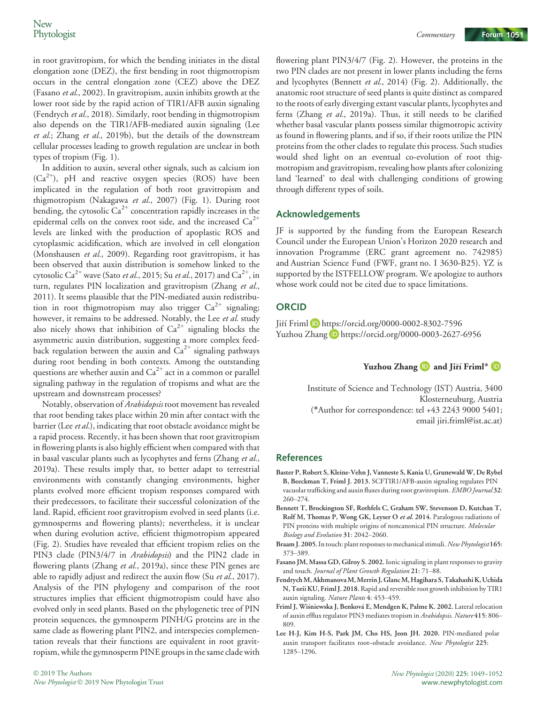in root gravitropism, for which the bending initiates in the distal elongation zone (DEZ), the first bending in root thigmotropism occurs in the central elongation zone (CEZ) above the DEZ (Fasano et al., 2002). In gravitropism, auxin inhibits growth at the lower root side by the rapid action of TIR1/AFB auxin signaling (Fendrych et al., 2018). Similarly, root bending in thigmotropism also depends on the TIR1/AFB-mediated auxin signaling (Lee et al.; Zhang et al., 2019b), but the details of the downstream cellular processes leading to growth regulation are unclear in both types of tropism (Fig. 1).

In addition to auxin, several other signals, such as calcium ion (Ca<sup>2+</sup>), pH and reactive oxygen species (ROS) have been implicated in the regulation of both root gravitropism and thigmotropism (Nakagawa et al., 2007) (Fig. 1). During root bending, the cytosolic  $Ca^{2+}$  concentration rapidly increases in the epidermal cells on the convex root side, and the increased  $Ca^{2+}$ levels are linked with the production of apoplastic ROS and cytoplasmic acidification, which are involved in cell elongation (Monshausen et al., 2009). Regarding root gravitropism, it has been observed that auxin distribution is somehow linked to the cytosolic Ca<sup>2+</sup> wave (Sato *et al.*, 2015; Su *et al.*, 2017) and Ca<sup>2+</sup>, in turn, regulates PIN localization and gravitropism (Zhang et al., 2011). It seems plausible that the PIN-mediated auxin redistribution in root thigmotropism may also trigger  $Ca^{2+}$  signaling; however, it remains to be addressed. Notably, the Lee et al. study also nicely shows that inhibition of  $Ca^{2+}$  signaling blocks the asymmetric auxin distribution, suggesting a more complex feedback regulation between the auxin and  $Ca^{2+}$  signaling pathways during root bending in both contexts. Among the outstanding questions are whether auxin and  $Ca^{2+}$  act in a common or parallel signaling pathway in the regulation of tropisms and what are the upstream and downstream processes?

Notably, observation of Arabidopsis root movement has revealed that root bending takes place within 20 min after contact with the barrier (Lee et al.), indicating that root obstacle avoidance might be a rapid process. Recently, it has been shown that root gravitropism in flowering plants is also highly efficient when compared with that in basal vascular plants such as lycophytes and ferns (Zhang et al., 2019a). These results imply that, to better adapt to terrestrial environments with constantly changing environments, higher plants evolved more efficient tropism responses compared with their predecessors, to facilitate their successful colonization of the land. Rapid, efficient root gravitropism evolved in seed plants (i.e. gymnosperms and flowering plants); nevertheless, it is unclear when during evolution active, efficient thigmotropism appeared (Fig. 2). Studies have revealed that efficient tropism relies on the PIN3 clade (PIN3/4/7 in Arabidopsis) and the PIN2 clade in flowering plants (Zhang et al., 2019a), since these PIN genes are able to rapidly adjust and redirect the auxin flow (Su et al., 2017). Analysis of the PIN phylogeny and comparison of the root structures implies that efficient thigmotropism could have also evolved only in seed plants. Based on the phylogenetic tree of PIN protein sequences, the gymnosperm PINH/G proteins are in the same clade as flowering plant PIN2, and interspecies complementation reveals that their functions are equivalent in root gravitropism, while the gymnosperm PINE groups in the same clade with

flowering plant PIN3/4/7 (Fig. 2). However, the proteins in the two PIN clades are not present in lower plants including the ferns and lycophytes (Bennett et al., 2014) (Fig. 2). Additionally, the anatomic root structure of seed plants is quite distinct as compared to the roots of early diverging extant vascular plants, lycophytes and ferns (Zhang et al., 2019a). Thus, it still needs to be clarified whether basal vascular plants possess similar thigmotropic activity as found in flowering plants, and if so, if their roots utilize the PIN proteins from the other clades to regulate this process. Such studies would shed light on an eventual co-evolution of root thigmotropism and gravitropism, revealing how plants after colonizing land 'learned' to deal with challenging conditions of growing through different types of soils.

#### Acknowledgements

JF is supported by the funding from the European Research Council under the European Union's Horizon 2020 research and innovation Programme (ERC grant agreement no. 742985) and Austrian Science Fund (FWF, grant no. I 3630-B25). YZ is supported by the ISTFELLOW program. We apologize to authors whose work could not be cited due to space limitations.

### **ORCID**

Jiří Friml D https://orcid.org/0000-0002-8302-7596 Yuzhou Zhang D https://orcid.org/0000-0003-2627-6956

Yuzhou Zhang and Jiří Friml\* D

Institute of Science and Technology (IST) Austria, 3400 Klosterneuburg, Austria (\*Author for correspondence: tel +43 2243 9000 5401; email jiri.friml@ist.ac.at)

#### References

- Baster P, Robert S, Kleine-Vehn J, Vanneste S, Kania U, Grunewald W, De Rybel B, Beeckman T, Friml J. 2013. SCFTIR1/AFB-auxin signaling regulates PIN vacuolar trafficking and auxin fluxes during root gravitropism. EMBO Journal 32: 260–274.
- Bennett T, Brockington SF, Rothfels C, Graham SW, Stevenson D, Kutchan T, Rolf M, Thomas P, Wong GK, Leyser O et al. 2014. Paralogous radiations of PIN proteins with multiple origins of noncanonical PIN structure. Molecular Biology and Evolution 31: 2042–2060.
- Braam J. 2005. In touch: plant responses to mechanical stimuli. New Phytologist 165: 373–389.
- Fasano JM, Massa GD, Gilroy S. 2002. Ionic signaling in plant responses to gravity and touch. Journal of Plant Growth Regulation 21: 71–88.
- FendrychM, AkhmanovaM,Merrin J, GlancM, Hagihara S,Takahashi K, Uchida N, Torii KU, Friml J. 2018.Rapid and reversible root growth inhibition by TIR1 auxin signaling. Nature Plants 4: 453–459.
- Friml J, Wisniewska J, Benkova E, Mendgen K, Palme K. 2002. Lateral relocation of auxin efflux regulator PIN3 mediates tropism in Arabidopsis. Nature 415: 806– 809.
- Lee H-J, Kim H-S, Park JM, Cho HS, Jeon JH. 2020. PIN-mediated polar auxin transport facilitates root–obstacle avoidance. New Phytologist 225: 1285–1296.